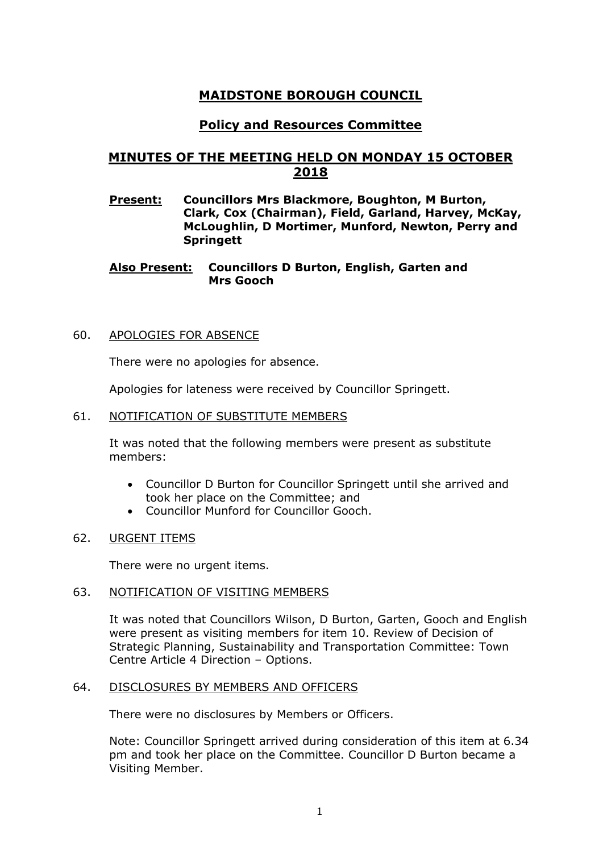# **MAIDSTONE BOROUGH COUNCIL**

## **Policy and Resources Committee**

# **MINUTES OF THE MEETING HELD ON MONDAY 15 OCTOBER 2018**

**Present: Councillors Mrs Blackmore, Boughton, M Burton, Clark, Cox (Chairman), Field, Garland, Harvey, McKay, McLoughlin, D Mortimer, Munford, Newton, Perry and Springett**

**Also Present: Councillors D Burton, English, Garten and Mrs Gooch**

## 60. APOLOGIES FOR ABSENCE

There were no apologies for absence.

Apologies for lateness were received by Councillor Springett.

#### 61. NOTIFICATION OF SUBSTITUTE MEMBERS

It was noted that the following members were present as substitute members:

- Councillor D Burton for Councillor Springett until she arrived and took her place on the Committee; and
- Councillor Munford for Councillor Gooch.
- 62. URGENT ITEMS

There were no urgent items.

## 63. NOTIFICATION OF VISITING MEMBERS

It was noted that Councillors Wilson, D Burton, Garten, Gooch and English were present as visiting members for item 10. Review of Decision of Strategic Planning, Sustainability and Transportation Committee: Town Centre Article 4 Direction – Options.

#### 64. DISCLOSURES BY MEMBERS AND OFFICERS

There were no disclosures by Members or Officers.

Note: Councillor Springett arrived during consideration of this item at 6.34 pm and took her place on the Committee. Councillor D Burton became a Visiting Member.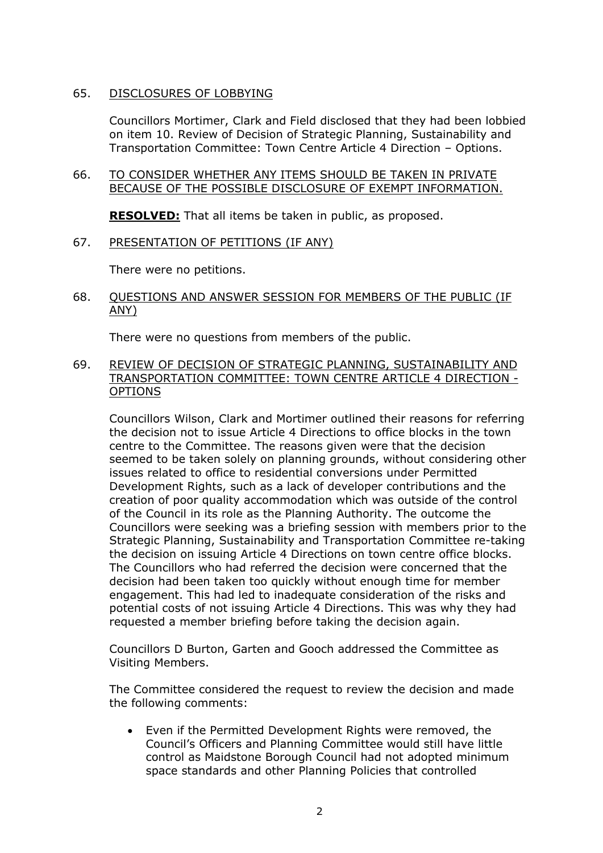## 65. DISCLOSURES OF LOBBYING

Councillors Mortimer, Clark and Field disclosed that they had been lobbied on item 10. Review of Decision of Strategic Planning, Sustainability and Transportation Committee: Town Centre Article 4 Direction – Options.

## 66. TO CONSIDER WHETHER ANY ITEMS SHOULD BE TAKEN IN PRIVATE BECAUSE OF THE POSSIBLE DISCLOSURE OF EXEMPT INFORMATION.

**RESOLVED:** That all items be taken in public, as proposed.

## 67. PRESENTATION OF PETITIONS (IF ANY)

There were no petitions.

## 68. QUESTIONS AND ANSWER SESSION FOR MEMBERS OF THE PUBLIC (IF ANY)

There were no questions from members of the public.

## 69. REVIEW OF DECISION OF STRATEGIC PLANNING, SUSTAINABILITY AND TRANSPORTATION COMMITTEE: TOWN CENTRE ARTICLE 4 DIRECTION - OPTIONS

Councillors Wilson, Clark and Mortimer outlined their reasons for referring the decision not to issue Article 4 Directions to office blocks in the town centre to the Committee. The reasons given were that the decision seemed to be taken solely on planning grounds, without considering other issues related to office to residential conversions under Permitted Development Rights, such as a lack of developer contributions and the creation of poor quality accommodation which was outside of the control of the Council in its role as the Planning Authority. The outcome the Councillors were seeking was a briefing session with members prior to the Strategic Planning, Sustainability and Transportation Committee re-taking the decision on issuing Article 4 Directions on town centre office blocks. The Councillors who had referred the decision were concerned that the decision had been taken too quickly without enough time for member engagement. This had led to inadequate consideration of the risks and potential costs of not issuing Article 4 Directions. This was why they had requested a member briefing before taking the decision again.

Councillors D Burton, Garten and Gooch addressed the Committee as Visiting Members.

The Committee considered the request to review the decision and made the following comments:

 Even if the Permitted Development Rights were removed, the Council's Officers and Planning Committee would still have little control as Maidstone Borough Council had not adopted minimum space standards and other Planning Policies that controlled